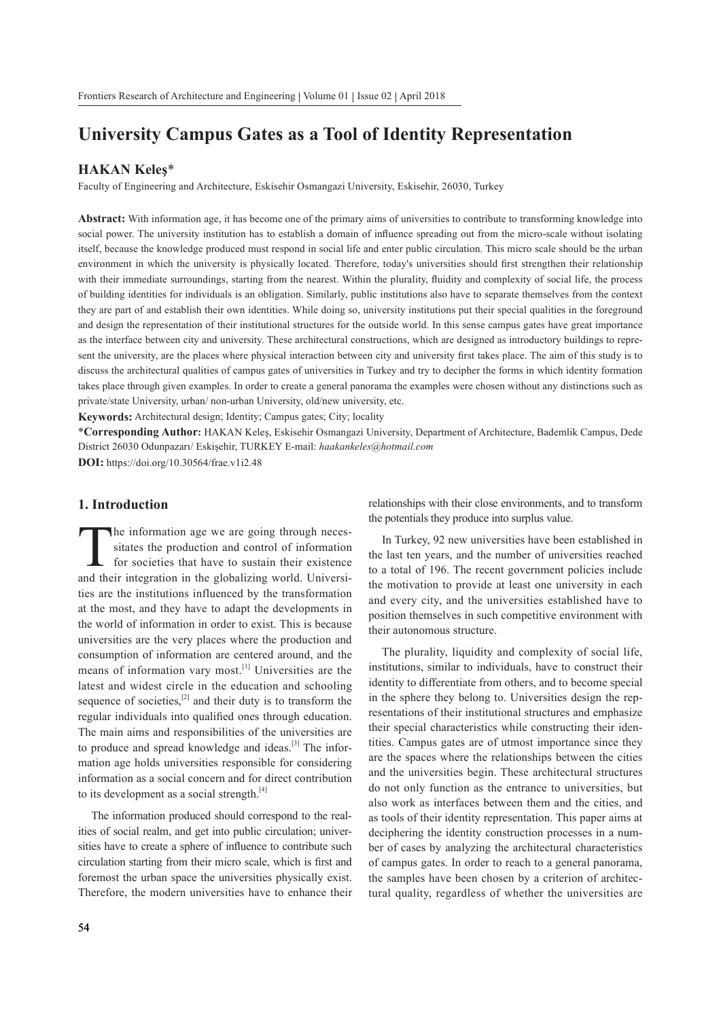# University Campus Gates as a Tool of Identity Representation

## HAKAN Keleş\*

Faculty of Engineering and Architecture, Eskisehir Osmangazi University, Eskisehir, 26030, Turkey

Abstract: With information age, it has become one of the primary aims of universities to contribute to transforming knowledge into social power. The university institution has to establish a domain of influence spreading out from the micro-scale without isolating itself, because the knowledge produced must respond in social life and enter public circulation. This micro scale should be the urban environment in which the university is physically located. Therefore, today's universities should first strengthen their relationship with their immediate surroundings, starting from the nearest. Within the plurality, fluidity and complexity of social life, the process of building identities for individuals is an obligation. Similarly, public institutions also have to separate themselves from the context they are part of and establish their own identities. While doing so, university institutions put their special qualities in the foreground and design the representation of their institutional structures for the outside world. In this sense campus gates have great importance as the interface between city and university. These architectural constructions, which are designed as introductory buildings to represent the university, are the places where physical interaction between city and university first takes place. The aim of this study is to discuss the architectural qualities of campus gates of universities in Turkey and try to decipher the forms in which identity formation takes place through given examples. In order to create a general panorama the examples were chosen without any distinctions such as private/state University, urban/ non-urban University, old/new university, etc.

Keywords: Architectural design; Identity; Campus gates; City; locality

\*Corresponding Author: HAKAN Keleş, Eskisehir Osmangazi University, Department of Architecture, Bademlik Campus, Dede District 26030 Odunpazarı/ Eskişehir, TURKEY E-mail: haakankeles@hotmail.com

DOI: https://doi.org/10.30564/frae.v1i2.48

#### 1. Introduction

The information age we are going through neces-<br>sitates the production and control of information<br>for societies that have to sustain their existence<br>and their integration in the globalizing world. Universisitates the production and control of information for societies that have to sustain their existence and their integration in the globalizing world. Universities are the institutions influenced by the transformation at the most, and they have to adapt the developments in the world of information in order to exist. This is because universities are the very places where the production and consumption of information are centered around, and the means of information vary most.[1] Universities are the latest and widest circle in the education and schooling sequence of societies, $^{[2]}$  and their duty is to transform the regular individuals into qualified ones through education. The main aims and responsibilities of the universities are to produce and spread knowledge and ideas.<sup>[3]</sup> The information age holds universities responsible for considering information as a social concern and for direct contribution to its development as a social strength. $[4]$ 

The information produced should correspond to the realities of social realm, and get into public circulation; universities have to create a sphere of influence to contribute such circulation starting from their micro scale, which is first and foremost the urban space the universities physically exist. Therefore, the modern universities have to enhance their relationships with their close environments, and to transform the potentials they produce into surplus value.

In Turkey, 92 new universities have been established in the last ten years, and the number of universities reached to a total of 196. The recent government policies include the motivation to provide at least one university in each and every city, and the universities established have to position themselves in such competitive environment with their autonomous structure.

The plurality, liquidity and complexity of social life, institutions, similar to individuals, have to construct their identity to differentiate from others, and to become special in the sphere they belong to. Universities design the representations of their institutional structures and emphasize their special characteristics while constructing their identities. Campus gates are of utmost importance since they are the spaces where the relationships between the cities and the universities begin. These architectural structures do not only function as the entrance to universities, but also work as interfaces between them and the cities, and as tools of their identity representation. This paper aims at deciphering the identity construction processes in a number of cases by analyzing the architectural characteristics of campus gates. In order to reach to a general panorama, the samples have been chosen by a criterion of architectural quality, regardless of whether the universities are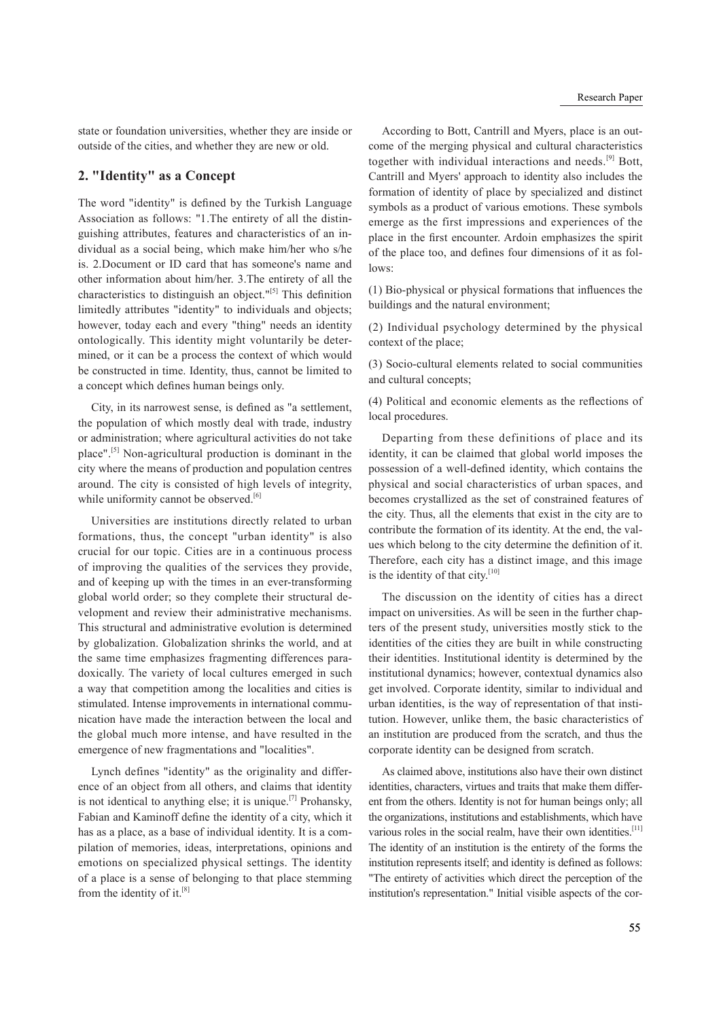state or foundation universities, whether they are inside or outside of the cities, and whether they are new or old.

# 2. "Identity" as a Concept

The word "identity" is defined by the Turkish Language Association as follows: "1.The entirety of all the distinguishing attributes, features and characteristics of an individual as a social being, which make him/her who s/he is. 2.Document or ID card that has someone's name and other information about him/her. 3.The entirety of all the characteristics to distinguish an object."<sup>[5]</sup> This definition limitedly attributes "identity" to individuals and objects; however, today each and every "thing" needs an identity ontologically. This identity might voluntarily be determined, or it can be a process the context of which would be constructed in time. Identity, thus, cannot be limited to a concept which defines human beings only.

City, in its narrowest sense, is defined as "a settlement, the population of which mostly deal with trade, industry or administration; where agricultural activities do not take place".[5] Non-agricultural production is dominant in the city where the means of production and population centres around. The city is consisted of high levels of integrity, while uniformity cannot be observed.<sup>[6]</sup>

Universities are institutions directly related to urban formations, thus, the concept "urban identity" is also crucial for our topic. Cities are in a continuous process of improving the qualities of the services they provide, and of keeping up with the times in an ever-transforming global world order; so they complete their structural development and review their administrative mechanisms. This structural and administrative evolution is determined by globalization. Globalization shrinks the world, and at the same time emphasizes fragmenting differences paradoxically. The variety of local cultures emerged in such a way that competition among the localities and cities is stimulated. Intense improvements in international communication have made the interaction between the local and the global much more intense, and have resulted in the emergence of new fragmentations and "localities".

Lynch defines "identity" as the originality and difference of an object from all others, and claims that identity is not identical to anything else; it is unique.<sup>[7]</sup> Prohansky, Fabian and Kaminoff define the identity of a city, which it has as a place, as a base of individual identity. It is a compilation of memories, ideas, interpretations, opinions and emotions on specialized physical settings. The identity of a place is a sense of belonging to that place stemming from the identity of it.[8]

According to Bott, Cantrill and Myers, place is an outcome of the merging physical and cultural characteristics together with individual interactions and needs.[9] Bott, Cantrill and Myers' approach to identity also includes the formation of identity of place by specialized and distinct symbols as a product of various emotions. These symbols emerge as the first impressions and experiences of the place in the first encounter. Ardoin emphasizes the spirit of the place too, and defines four dimensions of it as follows:

 $(1)$  Bio-physical or physical formations that influences the buildings and the natural environment;

(2) Individual psychology determined by the physical context of the place;

(3) Socio-cultural elements related to social communities and cultural concepts;

(4) Political and economic elements as the reflections of local procedures.

Departing from these definitions of place and its identity, it can be claimed that global world imposes the possession of a well-defined identity, which contains the physical and social characteristics of urban spaces, and becomes crystallized as the set of constrained features of the city. Thus, all the elements that exist in the city are to contribute the formation of its identity. At the end, the values which belong to the city determine the definition of it. Therefore, each city has a distinct image, and this image is the identity of that city.<sup>[10]</sup>

The discussion on the identity of cities has a direct impact on universities. As will be seen in the further chapters of the present study, universities mostly stick to the identities of the cities they are built in while constructing their identities. Institutional identity is determined by the institutional dynamics; however, contextual dynamics also get involved. Corporate identity, similar to individual and urban identities, is the way of representation of that institution. However, unlike them, the basic characteristics of an institution are produced from the scratch, and thus the corporate identity can be designed from scratch.

As claimed above, institutions also have their own distinct identities, characters, virtues and traits that make them different from the others. Identity is not for human beings only; all the organizations, institutions and establishments, which have various roles in the social realm, have their own identities.<sup>[11]</sup> The identity of an institution is the entirety of the forms the institution represents itself; and identity is defined as follows: "The entirety of activities which direct the perception of the institution's representation." Initial visible aspects of the cor-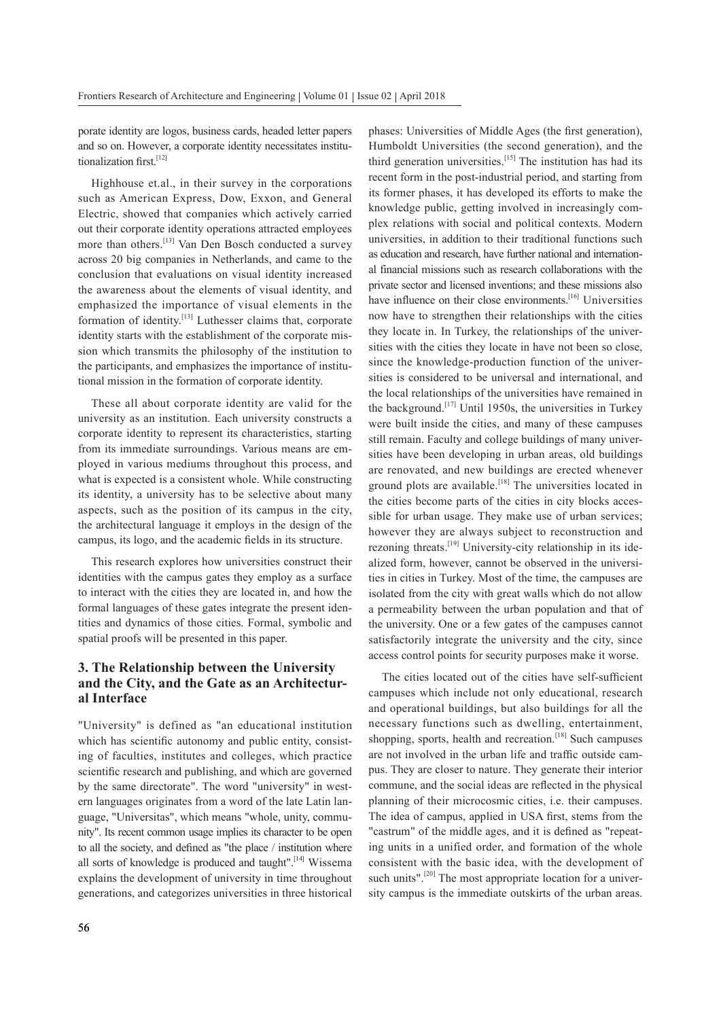porate identity are logos, business cards, headed letter papers and so on. However, a corporate identity necessitates institutionalization first.<sup>[12]</sup>

Highhouse et.al., in their survey in the corporations such as American Express, Dow, Exxon, and General Electric, showed that companies which actively carried out their corporate identity operations attracted employees more than others.[13] Van Den Bosch conducted a survey across 20 big companies in Netherlands, and came to the conclusion that evaluations on visual identity increased the awareness about the elements of visual identity, and emphasized the importance of visual elements in the formation of identity.[13] Luthesser claims that, corporate identity starts with the establishment of the corporate mission which transmits the philosophy of the institution to the participants, and emphasizes the importance of institutional mission in the formation of corporate identity.

These all about corporate identity are valid for the university as an institution. Each university constructs a corporate identity to represent its characteristics, starting from its immediate surroundings. Various means are employed in various mediums throughout this process, and what is expected is a consistent whole. While constructing its identity, a university has to be selective about many aspects, such as the position of its campus in the city, the architectural language it employs in the design of the campus, its logo, and the academic fields in its structure.

This research explores how universities construct their identities with the campus gates they employ as a surface to interact with the cities they are located in, and how the formal languages of these gates integrate the present identities and dynamics of those cities. Formal, symbolic and spatial proofs will be presented in this paper.

# 3. The Relationship between the University and the City, and the Gate as an Architectural Interface

"University" is defined as "an educational institution which has scientific autonomy and public entity, consisting of faculties, institutes and colleges, which practice scientific research and publishing, and which are governed by the same directorate". The word "university" in western languages originates from a word of the late Latin language, "Universitas", which means "whole, unity, community". Its recent common usage implies its character to be open to all the society, and defined as "the place / institution where all sorts of knowledge is produced and taught".<sup>[14]</sup> Wissema explains the development of university in time throughout generations, and categorizes universities in three historical phases: Universities of Middle Ages (the first generation), Humboldt Universities (the second generation), and the third generation universities.<sup>[15]</sup> The institution has had its recent form in the post-industrial period, and starting from its former phases, it has developed its efforts to make the knowledge public, getting involved in increasingly complex relations with social and political contexts. Modern universities, in addition to their traditional functions such as education and research, have further national and international financial missions such as research collaborations with the private sector and licensed inventions; and these missions also have influence on their close environments.<sup>[16]</sup> Universities now have to strengthen their relationships with the cities they locate in. In Turkey, the relationships of the universities with the cities they locate in have not been so close, since the knowledge-production function of the universities is considered to be universal and international, and the local relationships of the universities have remained in the background.<sup>[17]</sup> Until 1950s, the universities in Turkey were built inside the cities, and many of these campuses still remain. Faculty and college buildings of many universities have been developing in urban areas, old buildings are renovated, and new buildings are erected whenever ground plots are available.[18] The universities located in the cities become parts of the cities in city blocks accessible for urban usage. They make use of urban services; however they are always subject to reconstruction and rezoning threats.<sup>[19]</sup> University-city relationship in its idealized form, however, cannot be observed in the universities in cities in Turkey. Most of the time, the campuses are isolated from the city with great walls which do not allow a permeability between the urban population and that of the university. One or a few gates of the campuses cannot satisfactorily integrate the university and the city, since access control points for security purposes make it worse.

The cities located out of the cities have self-sufficient campuses which include not only educational, research and operational buildings, but also buildings for all the necessary functions such as dwelling, entertainment, shopping, sports, health and recreation.<sup>[18]</sup> Such campuses are not involved in the urban life and traffic outside campus. They are closer to nature. They generate their interior commune, and the social ideas are reflected in the physical planning of their microcosmic cities, i.e. their campuses. The idea of campus, applied in USA first, stems from the "castrum" of the middle ages, and it is defined as "repeating units in a unified order, and formation of the whole consistent with the basic idea, with the development of such units". $[20]$  The most appropriate location for a university campus is the immediate outskirts of the urban areas.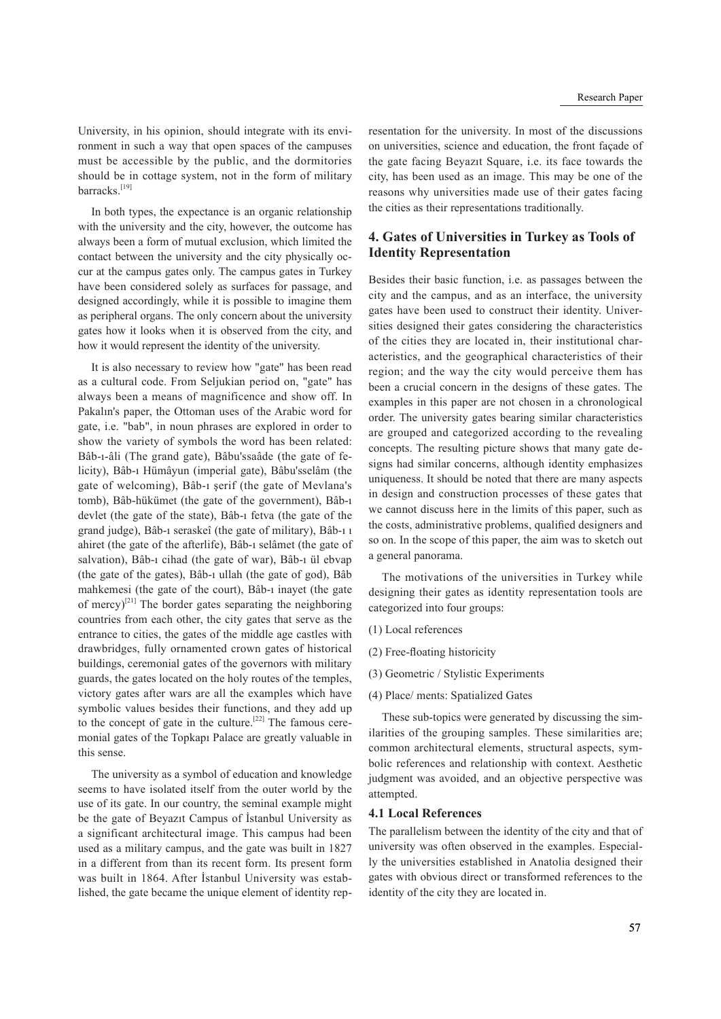University, in his opinion, should integrate with its environment in such a way that open spaces of the campuses must be accessible by the public, and the dormitories should be in cottage system, not in the form of military barracks.[19]

In both types, the expectance is an organic relationship with the university and the city, however, the outcome has always been a form of mutual exclusion, which limited the contact between the university and the city physically occur at the campus gates only. The campus gates in Turkey have been considered solely as surfaces for passage, and designed accordingly, while it is possible to imagine them as peripheral organs. The only concern about the university gates how it looks when it is observed from the city, and how it would represent the identity of the university.

It is also necessary to review how "gate" has been read as a cultural code. From Seljukian period on, "gate" has always been a means of magnificence and show off. In Pakalın's paper, the Ottoman uses of the Arabic word for gate, i.e. "bab", in noun phrases are explored in order to show the variety of symbols the word has been related: Bâb-ı-âli (The grand gate), Bâbu'ssaâde (the gate of felicity), Bâb-ı Hümâyun (imperial gate), Bâbu'sselâm (the gate of welcoming), Bâb-ı şerif (the gate of Mevlana's tomb), Bâb-hükümet (the gate of the government), Bâb-ı devlet (the gate of the state), Bâb-ı fetva (the gate of the grand judge), Bâb-ı seraskeî (the gate of military), Bâb-ı ı ahiret (the gate of the afterlife), Bâb-ı selâmet (the gate of salvation), Bâb-ı cihad (the gate of war), Bâb-ı ül ebvap (the gate of the gates), Bâb-ı ullah (the gate of god), Bâb mahkemesi (the gate of the court), Bâb-ı inayet (the gate of mercy)<sup>[21]</sup> The border gates separating the neighboring countries from each other, the city gates that serve as the entrance to cities, the gates of the middle age castles with drawbridges, fully ornamented crown gates of historical buildings, ceremonial gates of the governors with military guards, the gates located on the holy routes of the temples, victory gates after wars are all the examples which have symbolic values besides their functions, and they add up to the concept of gate in the culture.<sup>[22]</sup> The famous ceremonial gates of the Topkapı Palace are greatly valuable in this sense.

The university as a symbol of education and knowledge seems to have isolated itself from the outer world by the use of its gate. In our country, the seminal example might be the gate of Beyazıt Campus of İstanbul University as a significant architectural image. This campus had been used as a military campus, and the gate was built in 1827 in a different from than its recent form. Its present form was built in 1864. After İstanbul University was established, the gate became the unique element of identity representation for the university. In most of the discussions on universities, science and education, the front façade of the gate facing Beyazıt Square, i.e. its face towards the city, has been used as an image. This may be one of the reasons why universities made use of their gates facing the cities as their representations traditionally.

## 4. Gates of Universities in Turkey as Tools of Identity Representation

Besides their basic function, i.e. as passages between the city and the campus, and as an interface, the university gates have been used to construct their identity. Universities designed their gates considering the characteristics of the cities they are located in, their institutional characteristics, and the geographical characteristics of their region; and the way the city would perceive them has been a crucial concern in the designs of these gates. The examples in this paper are not chosen in a chronological order. The university gates bearing similar characteristics are grouped and categorized according to the revealing concepts. The resulting picture shows that many gate designs had similar concerns, although identity emphasizes uniqueness. It should be noted that there are many aspects in design and construction processes of these gates that we cannot discuss here in the limits of this paper, such as the costs, administrative problems, qualified designers and so on. In the scope of this paper, the aim was to sketch out a general panorama.

The motivations of the universities in Turkey while designing their gates as identity representation tools are categorized into four groups:

- (1) Local references
- $(2)$  Free-floating historicity
- (3) Geometric / Stylistic Experiments
- (4) Place/ ments: Spatialized Gates

These sub-topics were generated by discussing the similarities of the grouping samples. These similarities are; common architectural elements, structural aspects, symbolic references and relationship with context. Aesthetic judgment was avoided, and an objective perspective was attempted.

#### 4.1 Local References

The parallelism between the identity of the city and that of university was often observed in the examples. Especially the universities established in Anatolia designed their gates with obvious direct or transformed references to the identity of the city they are located in.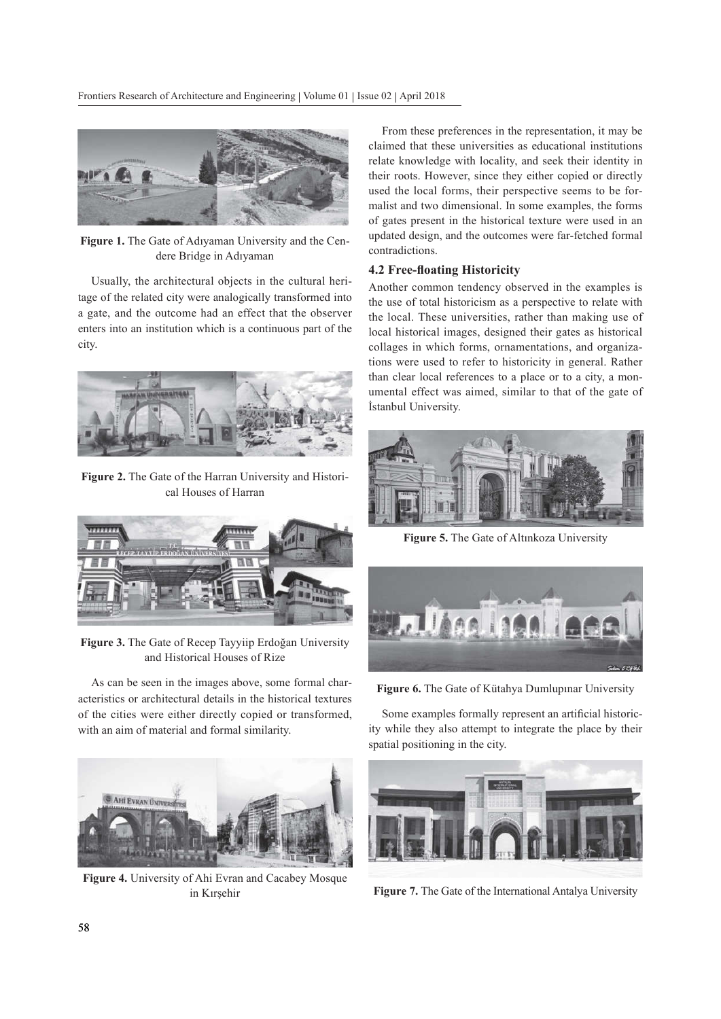

Figure 1. The Gate of Adıyaman University and the Cendere Bridge in Adıyaman

Usually, the architectural objects in the cultural heritage of the related city were analogically transformed into a gate, and the outcome had an effect that the observer enters into an institution which is a continuous part of the city.



Figure 2. The Gate of the Harran University and Historical Houses of Harran



Figure 3. The Gate of Recep Tayyiip Erdoğan University and Historical Houses of Rize

As can be seen in the images above, some formal characteristics or architectural details in the historical textures of the cities were either directly copied or transformed, with an aim of material and formal similarity.



Figure 4. University of Ahi Evran and Cacabey Mosque in Kırşehir

From these preferences in the representation, it may be claimed that these universities as educational institutions relate knowledge with locality, and seek their identity in their roots. However, since they either copied or directly used the local forms, their perspective seems to be formalist and two dimensional. In some examples, the forms of gates present in the historical texture were used in an updated design, and the outcomes were far-fetched formal contradictions.

## 4.2 Free-floating Historicity

Another common tendency observed in the examples is the use of total historicism as a perspective to relate with the local. These universities, rather than making use of local historical images, designed their gates as historical collages in which forms, ornamentations, and organizations were used to refer to historicity in general. Rather than clear local references to a place or to a city, a monumental effect was aimed, similar to that of the gate of İstanbul University.



Figure 5. The Gate of Altınkoza University



Figure 6. The Gate of Kütahya Dumlupınar University

Some examples formally represent an artificial historicity while they also attempt to integrate the place by their spatial positioning in the city.



Figure 7. The Gate of the International Antalya University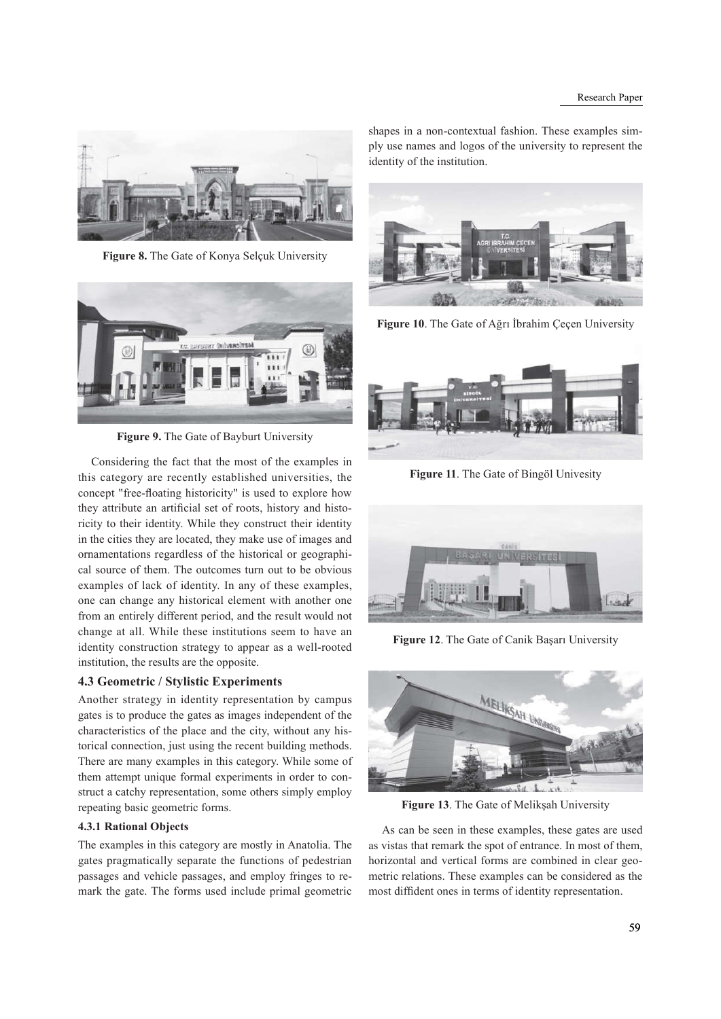

Figure 8. The Gate of Konya Selçuk University



Figure 9. The Gate of Bayburt University

Considering the fact that the most of the examples in this category are recently established universities, the concept "free-floating historicity" is used to explore how they attribute an artificial set of roots, history and historicity to their identity. While they construct their identity in the cities they are located, they make use of images and ornamentations regardless of the historical or geographical source of them. The outcomes turn out to be obvious examples of lack of identity. In any of these examples, one can change any historical element with another one from an entirely different period, and the result would not change at all. While these institutions seem to have an identity construction strategy to appear as a well-rooted institution, the results are the opposite.

# 4.3 Geometric / Stylistic Experiments

Another strategy in identity representation by campus gates is to produce the gates as images independent of the characteristics of the place and the city, without any historical connection, just using the recent building methods. There are many examples in this category. While some of them attempt unique formal experiments in order to construct a catchy representation, some others simply employ repeating basic geometric forms.

## 4.3.1 Rational Objects

The examples in this category are mostly in Anatolia. The gates pragmatically separate the functions of pedestrian passages and vehicle passages, and employ fringes to remark the gate. The forms used include primal geometric shapes in a non-contextual fashion. These examples simply use names and logos of the university to represent the identity of the institution.



Figure 10. The Gate of Ağrı İbrahim Çeçen University



Figure 11. The Gate of Bingöl Univesity



Figure 12. The Gate of Canik Başarı University



Figure 13. The Gate of Melikşah University

As can be seen in these examples, these gates are used as vistas that remark the spot of entrance. In most of them, horizontal and vertical forms are combined in clear geometric relations. These examples can be considered as the most difdent ones in terms of identity representation.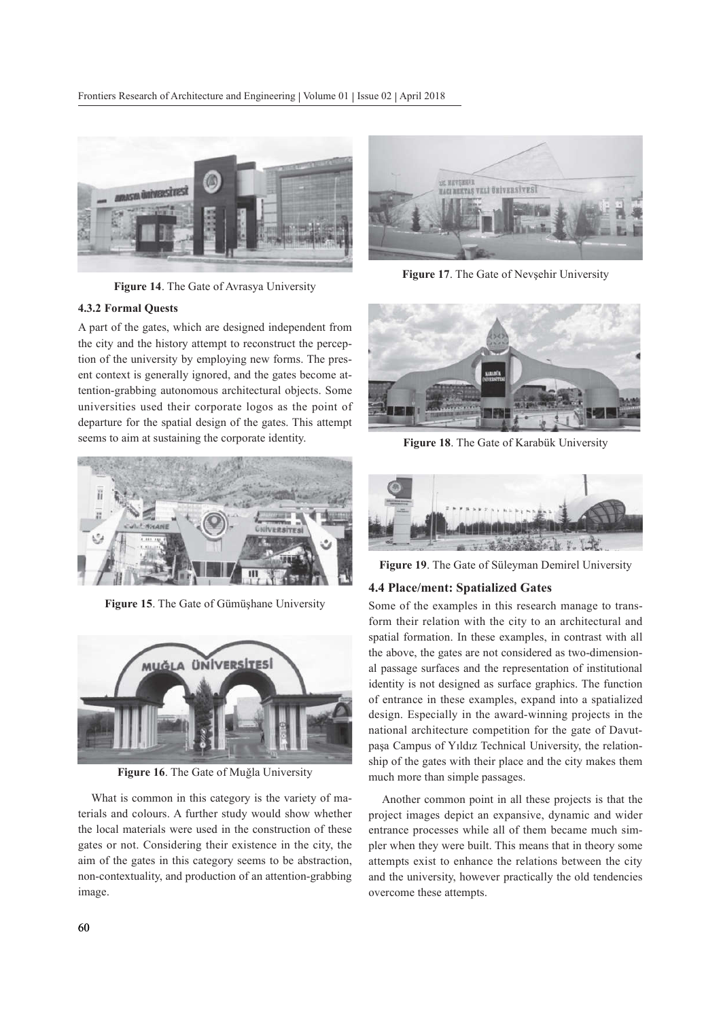Frontiers Research of Architecture and Engineering | Volume 01 | Issue 02 | April 2018



Figure 14. The Gate of Avrasya University



Figure 17. The Gate of Nevsehir University

#### 4.3.2 Formal Quests

A part of the gates, which are designed independent from the city and the history attempt to reconstruct the perception of the university by employing new forms. The present context is generally ignored, and the gates become attention-grabbing autonomous architectural objects. Some universities used their corporate logos as the point of departure for the spatial design of the gates. This attempt seems to aim at sustaining the corporate identity.



Figure 15. The Gate of Gümüşhane University



Figure 16. The Gate of Muğla University

What is common in this category is the variety of materials and colours. A further study would show whether the local materials were used in the construction of these gates or not. Considering their existence in the city, the aim of the gates in this category seems to be abstraction, non-contextuality, and production of an attention-grabbing image.



Figure 18. The Gate of Karabük University



Figure 19. The Gate of Süleyman Demirel University

#### 4.4 Place/ment: Spatialized Gates

Some of the examples in this research manage to transform their relation with the city to an architectural and spatial formation. In these examples, in contrast with all the above, the gates are not considered as two-dimensional passage surfaces and the representation of institutional identity is not designed as surface graphics. The function of entrance in these examples, expand into a spatialized design. Especially in the award-winning projects in the national architecture competition for the gate of Davutpaşa Campus of Yıldız Technical University, the relationship of the gates with their place and the city makes them much more than simple passages.

Another common point in all these projects is that the project images depict an expansive, dynamic and wider entrance processes while all of them became much simpler when they were built. This means that in theory some attempts exist to enhance the relations between the city and the university, however practically the old tendencies overcome these attempts.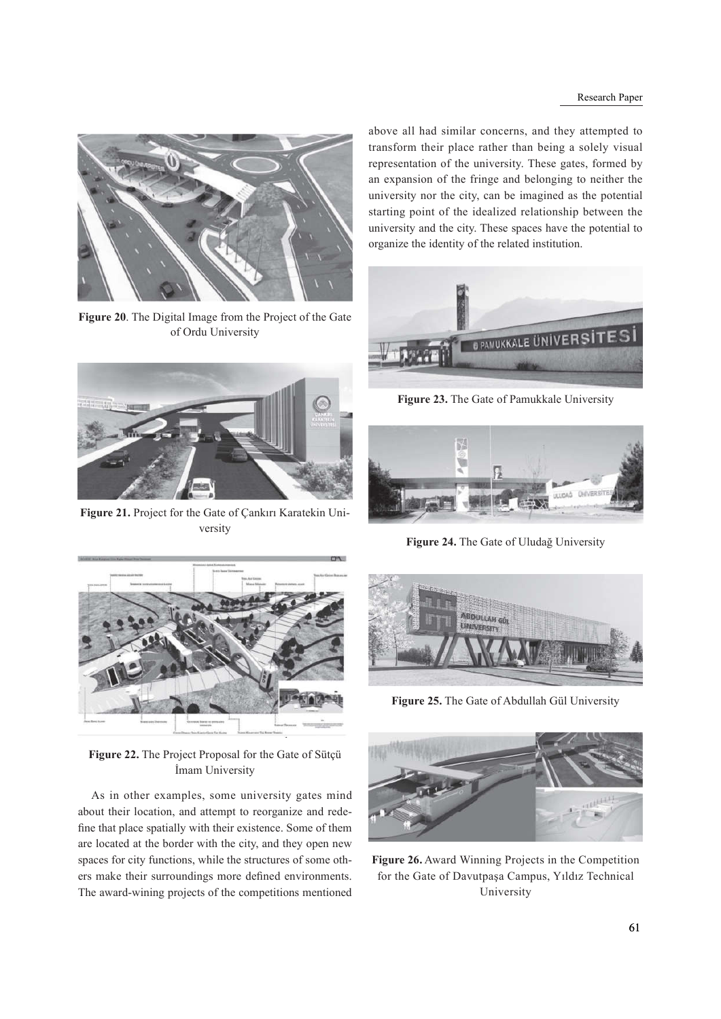

Figure 20. The Digital Image from the Project of the Gate of Ordu University



Figure 21. Project for the Gate of Çankırı Karatekin University

above all had similar concerns, and they attempted to transform their place rather than being a solely visual representation of the university. These gates, formed by an expansion of the fringe and belonging to neither the university nor the city, can be imagined as the potential starting point of the idealized relationship between the university and the city. These spaces have the potential to organize the identity of the related institution.



Figure 23. The Gate of Pamukkale University



Figure 24. The Gate of Uludağ University



Figure 22. The Project Proposal for the Gate of Sütçü İmam University

As in other examples, some university gates mind about their location, and attempt to reorganize and rede fine that place spatially with their existence. Some of them are located at the border with the city, and they open new spaces for city functions, while the structures of some others make their surroundings more defined environments. The award-wining projects of the competitions mentioned



Figure 25. The Gate of Abdullah Gül University



Figure 26. Award Winning Projects in the Competition for the Gate of Davutpaşa Campus, Yıldız Technical University